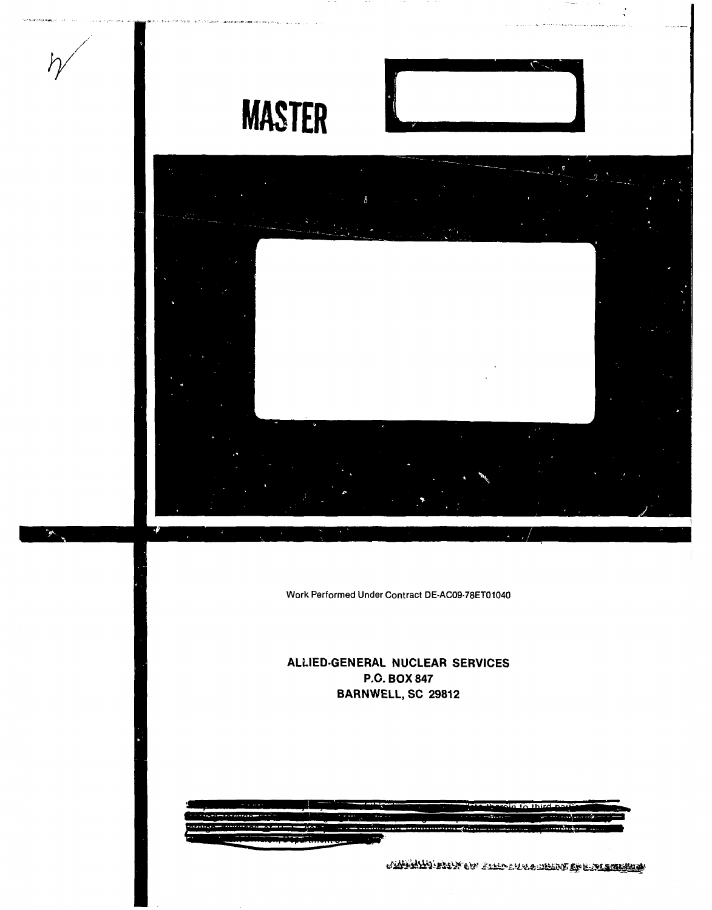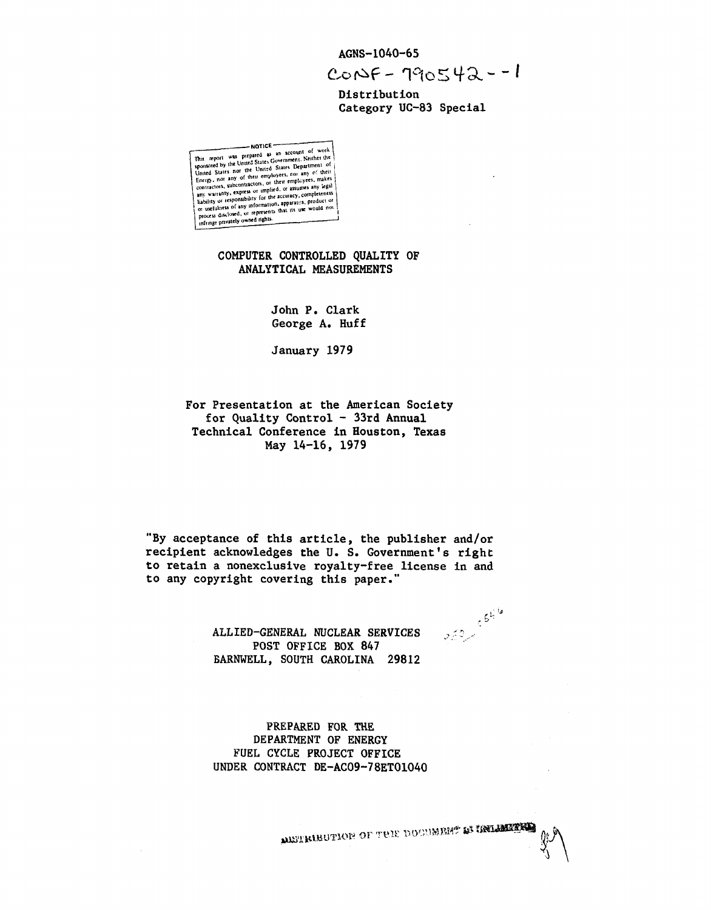AGNS-1040-65

 $C_{0}N_{F} - 190542 - 1$ 

Distribution Category UC-83 Special

COMPUTER CONTROLLED QUALITY OF ANALYTICAL MEASUREMENTS

> John P. Clark George A. Huff

January 1979

For Presentation at the American Society for Quality Control - 33rd Annual Technical Conference in Houston, Texas May 14-16, 1979

"By acceptance of this article, the publisher and/or recipient acknowledges the U.S. Government's right to retain a nonexclusive royalty-free license in and to any copyright covering this paper."

> ALLIED-GENERAL NUCLEAR SERVICES POST OFFICE BOX 847 **BARNWELL, SOUTH CAROLINA 29812**

PREPARED FOR THE DEPARTMENT OF ENERGY FUEL CYCLE PROJECT OFFICE UNDER CONTRACT DE-AC09-78ET01040  $55^{16}$ 

**METRIBUTION OF THE DOCUMENT & IRELENEES**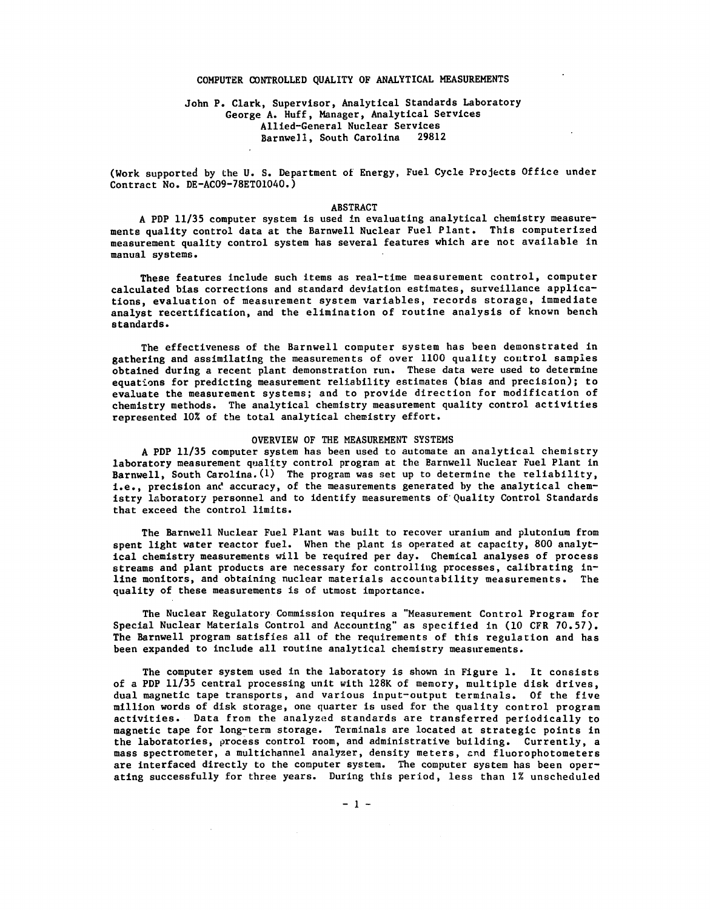### COMPUTER CONTROLLED QUALITY OF ANALYTICAL MEASUREMENTS

## John P. Clark, Supervisor, Analytical Standards Laboratory George A. Huff, Manager, Analytical Services Allied-General Nuclear Services Barnwell, South Carolina

(Work supported by the U. S. Department of Energy, Fuel Cycle Projects Office under Contract No. DE-AC09-78ET01040.)

#### ABSTRACT

A PDP 11/35 computer system is used in evaluating analytical chemistry measurements quality control data at the Barnwell Nuclear Fuel Plant. This computerized measurement quality control system has several features which are not available in manual systems.

These features include such items as real-time measurement control, computer calculated bias corrections and standard deviation estimates, surveillance applications, evaluation of measurement system variables, records storage, immediate analyst recertification, and the elimination of routine analysis of known bench standards.

The effectiveness of the Barnwell computer system has been demonstrated in gathering and assimilating the measurements of over 1100 quality control samples obtained during a recent plant demonstration run. These data were used to determine equations for predicting measurement reliability estimates (bias and precision); to evaluate the measurement systems; and to provide direction for modification of chemistry methods. The analytical chemistry measurement quality control activities represented 10% of the total analytical chemistry effort.

#### OVERVIEW OF THE MEASUREMENT SYSTEMS

A PDP 11/35 computer system has been used to automate an analytical chemistry laboratory measurement quality control program at the Barnwell Nuclear Fuel Plant in Barnwell, South Carolina. (1) The program was set up to determine the reliability, i.e., precision and accuracy, of the measurements generated by the analytical chemistry laboratory personnel and to identify measurements of Quality Control Standards that exceed the control limits.

The Barnwell Nuclear Fuel Plant was built to recover uranium and plutonium from spent light water reactor fuel. When the plant is operated at capacity, 800 analytical chemistry measurements will be required per day. Chemical analyses of process streams and plant products are necessary for controlling processes, calibrating inline monitors, and obtaining nuclear materials accountability measurements. The quality of these measurements is of utmost importance.

The Nuclear Regulatory Commission requires a "Measurement Control Program for Special Nuclear Materials Control and Accounting" as specified in (10 CFR 70.57). The Barnwell program satisfies all of the requirements of this regulation and has been expanded to include all routine analytical chemistry measurements.

The computer system used in the laboratory is shown in Figure 1. It consists of a PDP 11/35 central processing unit with 128K of memory, multiple disk drives, dual magnetic tape transports, and various input-output terminals. Of the five million words of disk storage, one quarter is used for the quality control program activities. Data from the analyzed standards are transferred periodically to magnetic tape for long-term storage. Terminals are located at strategic points in the laboratories, process control room, and administrative building. Currently, a mass spectrometer, a multichannel analyzer, density meters, end fluorophotometers are interfaced directly to the computer system. The computer system has been operating successfully for three years. During this period, less than 1% unscheduled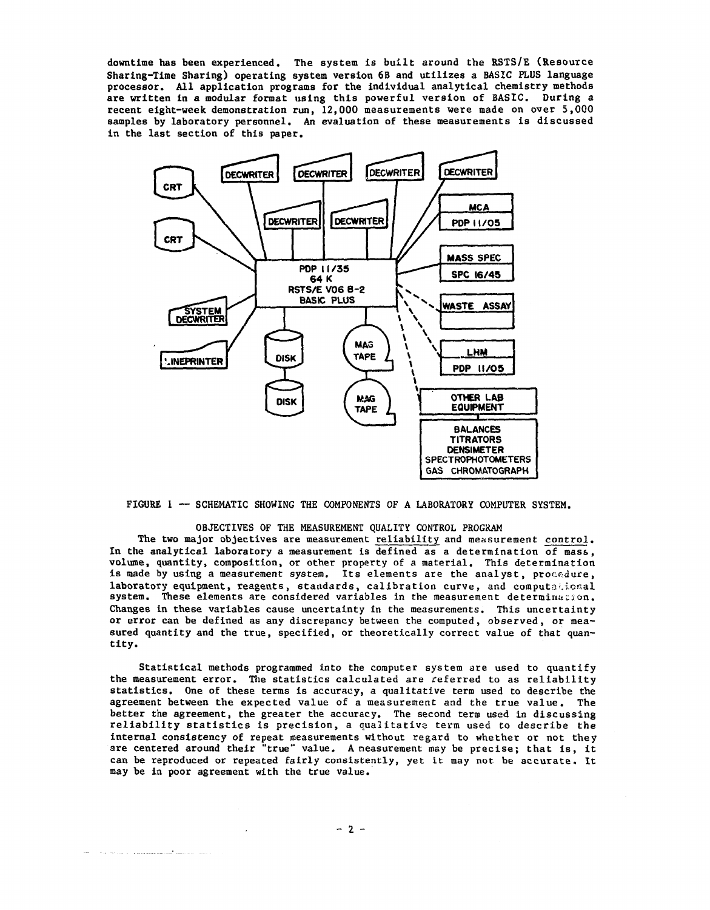downtime has been experienced. The system is built around the RSTS/E (Resource Sharing-Time Sharing) operating system version 6B and utilizes a BASIC PLUS language processor. All application programs for the individual analytical chemistry methods are written in a modular format using this powerful version of BASIC. During a recent eight-week demonstration run, 12,000 measurements were made on over 5,000 samples by laboratory personnel. An evaluation of these measurements is discussed in the last section of this paper.



FIGURE 1 — SCHEMATIC SHOWING THE COMPONENTS OF A LABORATORY COMPUTER SYSTEM.

### OBJECTIVES OF THE MEASUREMENT QUALITY CONTROL PROGRAM

The two major objectives are measurement reliability and measurement control. In the analytical laboratory a measurement is defined as a determination of mass, volume, quantity, composition, or other property of a material. This determination is made by using a measurement system. Its elements are the analyst, procedure, laboratory equipment, reagents, standards, calibration curve, and computational system. These elements are considered variables in the measurement determination. Changes in these variables cause uncertainty in the measurements. This uncertainty or error can be defined as any discrepancy between the computed, observed, or measured quantity and the true, specified, or theoretically correct value of that quantity.

Statistical methods programmed into the computer system are used to quantify the measurement error. The statistics calculated are referred to as reliability statistics. One of these terms is accuracy, a qualitative term used to describe the agreement between the expected value of a measurement and the true value. The better the agreement, the greater the accuracy. The second term used in discussing reliability statistics is precision, a qualitative term used to describe the internal consistency of repeat measurements without regard to whether or not they are centered around their "true" value. A measurement may be precise; that is, it can be reproduced or repeated fairly consistently, yet it may not be accurate. It may be in poor agreement with the true value.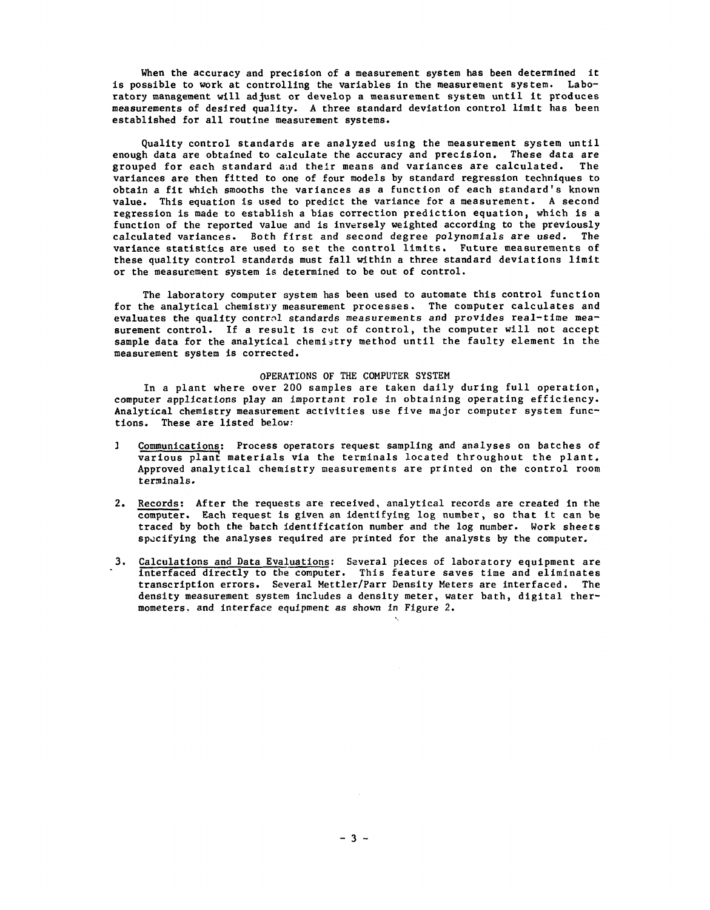When the accuracy and precision of a measurement system has been determined it is possible to work at controlling the variables in the measurement system. Laboratory management will adjust or develop a measurement system until it produces measurements of desired quality. A three standard deviation control limit has been established for all routine measurement systems.

Quality control standards are analyzed using the measurement system until enough data are obtained to calculate the accuracy and precision. These data are grouped for each standard and their means and variances are calculated. The variances are then fitted to one of four models by standard regression techniques to obtain a fit which smooths the variances as a function of each standard's known value. This equation is used to predict the variance for a measurement. A second regression is made to establish a bias correction prediction equation, which is a function of the reported value and is inversely weighted according to the previously calculated variances. Both first and second degree polynomials are used. The variance statistics are used to set the control limits. Future measurements of these quality control standards must fall within a three standard deviations limit or the measurement system is determined to be out of control.

The laboratory computer system has been used to automate this control function for the analytical chemistry measurement processes. The computer calculates and evaluates the quality control standards measurements and provides real-time measurement control. If a result is cut of control, the computer will not accept sample data for the analytical chemistry method until the faulty element in the measurement system is corrected.

#### OPERATIONS OF THE COMPUTER SYSTEM

In a plant where over 200 samples are taken daily during full operation, computer applications play an important role in obtaining operating efficiency. Analytical chemistry measurement activities use five major computer system functions. These are listed below:

- J Communications: Process operators request sampling and analyses on batches of various plant materials via the terminals located throughout the plant. Approved analytical chemistry measurements are printed on the control room terminals.
- 2. Records; After the requests are received, analytical records are created in the computer. Each request Is given an identifying log number, so that it can be traced by both the batch identification number and the log number. Work sheets specifying the analyses required are printed for the analysts by the computer.
- 3. Calculations and Data Evaluations: Several pieces of laboratory equipment are interfaced directly to the computer. This feature saves time and eliminates transcription errors. Several Mettler/Parr Density Meters are interfaced. The density measurement system includes a density meter, water bath, digital thermometers. and interface equipment as shown in Figure 2.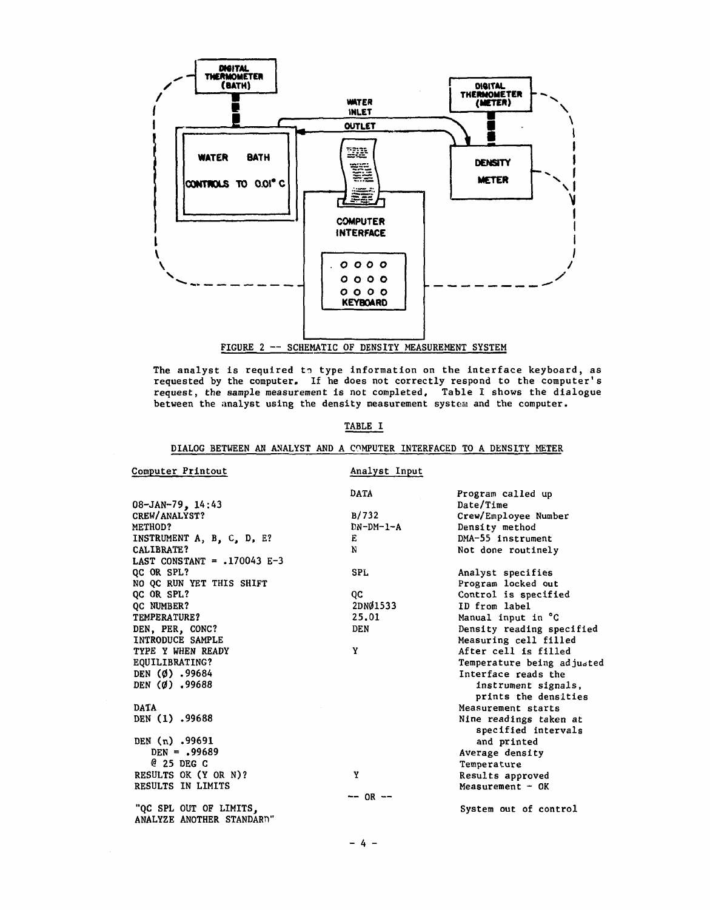

The analyst is required to type information on the interface keyboard, as requested by the computer. If he does not correctly respond to the computer's request, the sample measurement is not completed. Table I shows the dialogue between the analyst using the density measurement system and the computer.

# TABLE I

# DIALOG BETWEEN AN ANALYST AND A COMPUTER INTERFACED TO A DENSITY METER

| Computer Printout             | Analyst Input |                                               |
|-------------------------------|---------------|-----------------------------------------------|
|                               | DATA          | Program called up                             |
| $08 - JAN - 79$ , 14:43       |               | Date/Time                                     |
| CREW/ANALYST?                 | B/732         | Crew/Employee Number                          |
| METHOD?                       | $DN-DM-1-A$   | Density method                                |
| INSTRUMENT A, B, C, D, E?     | Е             | DMA-55 instrument                             |
| CALIBRATE?                    | N             | Not done routinely                            |
| LAST CONSTANT = $.170043$ E-3 |               |                                               |
| QC OR SPL?                    | <b>SPL</b>    | Analyst specifies                             |
| NO OC RUN YET THIS SHIFT      |               | Program locked out                            |
| QC OR SPL?                    | QC            | Control is specified                          |
| <b>QC NUMBER?</b>             | 2DNØ1533      | ID from label                                 |
| TEMPERATURE?                  | 25.01         | Manual input in °C                            |
| DEN, PER, CONC?               | <b>DEN</b>    | Density reading specified                     |
| INTRODUCE SAMPLE              |               | Measuring cell filled                         |
| TYPE Y WHEN READY             | Y             | After cell is filled                          |
| EQUILIBRATING?                |               | Temperature being adjusted                    |
| DEN $(0)$ .99684              |               | Interface reads the                           |
| DEN (Ø) .99688                |               | instrument signals,<br>prints the densities   |
| <b>DATA</b>                   |               | Measurement starts                            |
| DEN (1) .99688                |               | Nine readings taken at<br>specified intervals |
| DEN (n) .99691                |               | and printed                                   |
| $DEN = .99689$                |               | Average density                               |
| $Q$ 25 DEG $C$                |               | Temperature                                   |
| RESULTS OK (Y OR N)?          | Y             | Results approved                              |
| RESULTS IN LIMITS             |               | Measurement $-$ OK                            |
|                               | $- -$ OR $-$  |                                               |
| "QC SPL OUT OF LIMITS,        |               | System out of control                         |
| ANALYZE ANOTHER STANDARD"     |               |                                               |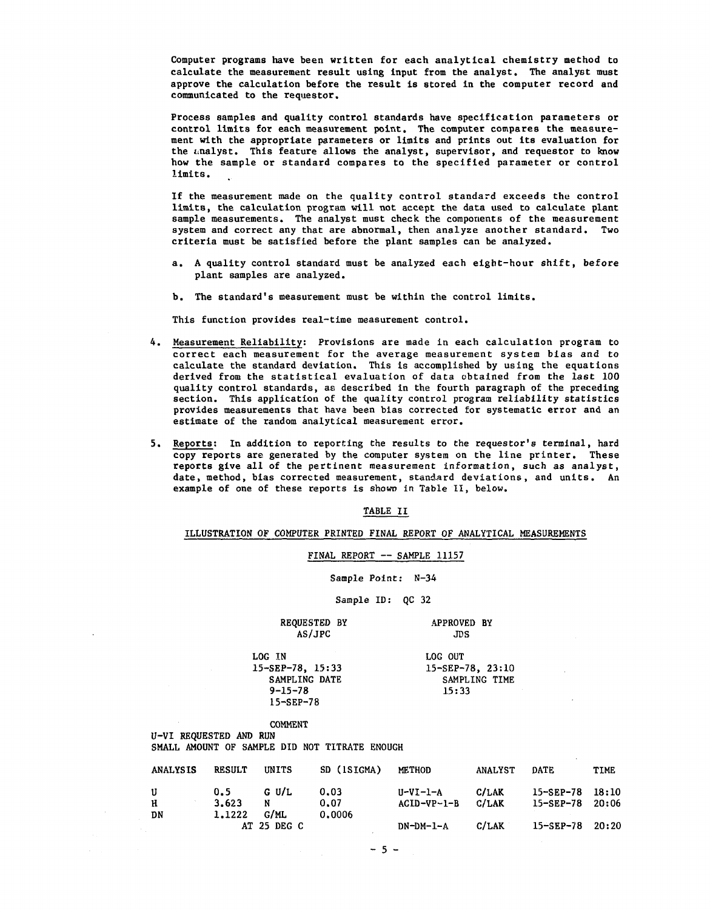Computer programs have been written for each analytical chemistry method to calculate the measurement result using input from the analyst. The analyst must approve the calculation before the result is stored in the computer record and communicated to the requestor.

Process samples and quality control standards have specification parameters or control limits for each measurement point. The computer compares the measurement with the appropriate parameters or limits and prints out its evaluation for the analyst. This feature allows the analyst, supervisor, and requestor to know how the sample or standard compares to the specified parameter or control limitG.

If the measurement made on the quality control standard exceeds the control limits, the calculation program will not accept the data used to calculate plant sample measurements. The analyst must check the components of the measurement system and correct any that are abnormal, then analyze another standard. Two criteria must be satisfied before the plant samples can be analyzed.

- a. A quality control standard must be analyzed each eight-hour shift, before plant samples are analyzed.
- b. The standard's measurement must be within the control limits.

This function provides real-time measurement control.

- 4. Measurement Reliability: Provisions are made in each calculation program to correct each measurement for the average measurement system bias and to calculate the standard deviation. This is accomplished by using the equations derived from the statistical evaluation of data obtained from the last 100 quality control standards, as described in the fourth paragraph of the preceding section. This application of the quality control program reliability statistics provides measurements that have been bias corrected for systematic error and an estimate of the random analytical measurement error.
- 5. Reports: In addition to reporting the results to the requestor's terminal, hard copy reports are generated by the computer system on the line printer. These reports give all of the pertinent measurement information, such as analyst, date, method, bias corrected measurement, standard deviations, and units. An example of one of these reports is shown in Table II, below.

TABLE II

ILLUSTRATION OF COMPUTER PRINTED FINAL REPORT OF ANALYTICAL MEASUREMENTS

FINAL REPORT — SAMPLE 11157

Sample Point: N-34

Sample ID: QC 32

REQUESTED BY APPROVED BY AS/JPC JDS  $AS/JPC$ 

SAMPLING DATE SAMPLING SAMPLING SAMPLING SAMPLING SAMPLING SAMPLING SAMPLING SAMPLING SAMPLING SAMPLING SAMPLING SAMPLING SAMPLING SAMPLING SAMPLING SAMPLING SAMPLING SAMPLING SAMPLING SAMPLING SAMPLING SAMPLING SAMPLING S  $9 - 15 - 78$ 15-SEP-78

LOG IN LOG OUT<br>15-SEP-78, 15:33 15-SEP-78, 23:10 15-SEP-78, 15:33 15-SEP-78, 23:10<br>SAMPLING DATE SAMPLING TIME

# COMMENT

U-VI REQUESTED AND RUN SMALL AMOUNT OF SAMPLE DID NOT TITRATE ENOUGH

| <b>ANALYSIS</b> | <b>RESULT</b>          | UNITS         | SD (ISIGMA)            | <b>METHOD</b>               | <b>ANALYST</b> | DATE                                             | TIME |
|-----------------|------------------------|---------------|------------------------|-----------------------------|----------------|--------------------------------------------------|------|
| U<br>н<br>DN    | 0.5<br>3.623<br>1.1222 | G U/L<br>G/ML | 0.03<br>0.07<br>0.0006 | $U-VI-I-A$<br>$ACID-VP-1-B$ | C/LAK<br>C/LAK | $15 - SEP - 78$ $18:10$<br>$15 - SEP - 78$ 20:06 |      |
|                 |                        | AT 25 DEG C   |                        | $DN-DM-1-A$                 | C/LAK          | $15 - SEP - 78$ 20:20                            |      |

 $-5 -$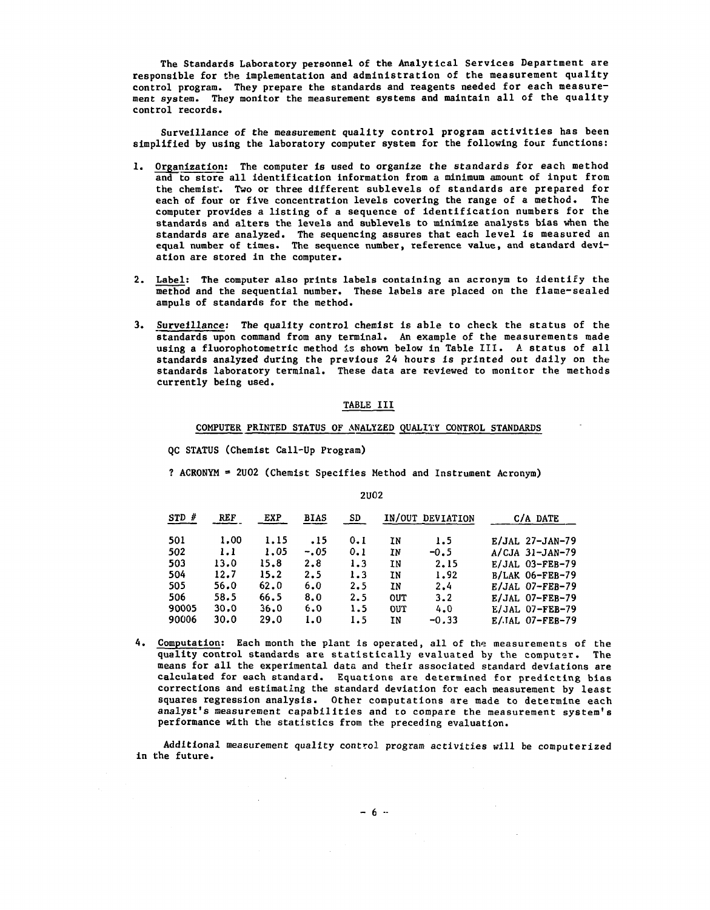The Standards Laboratory personnel of the Analytical Services Department are responsible for the implementation and administration of the measurement quality control program. They prepare the standards and reagents needed for each measurement system. They monitor the measurement systems and maintain all of the quality control records.

Surveillance of the measurement quality control program activities has been simplified by using the laboratory computer system for the following four functions:

- 1. Organization: The computer is used to organize the standards for each method and to store all identification information from a minimum amount of input from the chemist'. Two or three different sublevels of standards are prepared for each of four or five concentration levels covering the range of a method. The computer provides a listing of a sequence of identification numbers for the standards and alters the levels and sublevels to minimize analysts bias when the standards are analyzed. The sequencing assures that each level is measured an equal number of times. The sequence number, reference value, and standard deviation are stored in the computer.
- 2. Label: The computer also prints labels containing an acronym to identify the method and the sequential number. These labels are placed on the flame-sealed ampuls of standards for the method.
- 3. Surveillance: The quality control chemist is able to check the status of the standards upon command from any terminal. An example of the measurements made using a fluorophotometric method is shown below in Table III. A status of all standards analyzed during the previous 24 hours is printed out daily on the standards laboratory terminal. These data are reviewed to monitor the methods currently being used.

### TABLE III

### COMPUTER PRINTED STATUS OF ANALYZED QUALITY CONTROL STANDARDS

QC STATUS (Chemist Call-Up Program)

 $\mathcal{L}$ 

? ACRONYM \* 2U02 (Chemist Specifies Method and Instrument Acronym)

| $STD$ # | <b>REF</b> | EXP  | <b>BIAS</b> | SD  |     | IN/OUT DEVIATION | C/A DATE          |
|---------|------------|------|-------------|-----|-----|------------------|-------------------|
| 501     | 1.00       | 1.15 | .15         | 0.1 | ΙN  | 1.5              | E/JAL 27-JAN-79   |
| 502     | 1.1        | 1.05 | $-.05$      | 0.1 | IN  | $-0.5$           | $A/CJA$ 31-JAN-79 |
| 503     | 13.0       | 15.8 | 2.8         | 1.3 | ΙN  | 2.15             | $E/JAL$ 03-FEB-79 |
| 504     | 12.7       | 15.2 | 2.5         | 1.3 | ΙN  | 1.92             | $B/LAK$ 06-FEB-79 |
| 505     | 56.0       | 62.0 | 6.0         | 2.5 | ΙN  | 2.4              | E/JAL 07-FEB-79   |
| 506     | 58.5       | 66.5 | 8.0         | 2.5 | OUT | 3.2              | $E/JAL$ 07-FEB-79 |
| 90005   | 30.0       | 36.0 | 6.0         | 1.5 | out | 4.0              | E/JAL 07-FEB-79   |
| 90006   | 30.0       | 29.0 | 1.0         | 1.5 | ΙN  | $-0.33$          | $E/IAL$ 07-FEB-79 |

4. Computation: Each month the plant is operated, all of the measurements of the quality control standards are statistically evaluated by the computer. The means for all the experimental data and their associated standard deviations are calculated for each standard. Equations are determined for predicting bias corrections and estimating the standard deviation for each measurement by least squares regression analysis. Other computations are made to determine each analyst's measurement capabilities and to compare the measurement system's performance with the statistics from the preceding evaluation.

Additional measurement quality control program activities will be computerized in the future.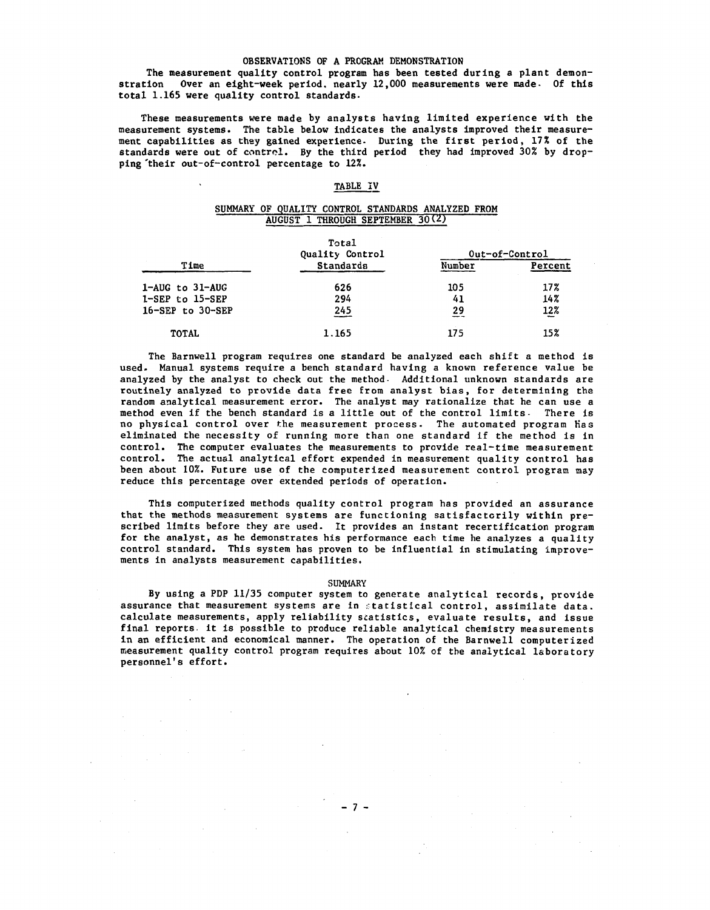### OBSERVATIONS OF A PROGRAM DEMONSTRATION

The measurement quality control program has been tested during a plant demonstration Over an eight-week period, nearly 12,000 measurements were made- Of this total 1.165 were quality control standards.

These measurements were made by analysts having limited experience with the measurement systems. The table below indicates the analysts improved their measurement capabilities as they gained experience. During the first period, 17% of the standards were out of control. By the third period they had improved 30% by dropping 'their out-of-control percentage to 12%.

### TABLE IV

### SUMMARY OF QUALITY CONTROL STANDARDS ANALYZED FROM AUGUST 1 THROUGH SEPTEMBER 30(2)

|                          | Total<br>Quality Control | Out-of-Control |         |  |
|--------------------------|--------------------------|----------------|---------|--|
| Time                     | <b>Standards</b>         | Number         | Percent |  |
| $1 - AUG$ to $31 - AUG$  | 626                      | 105            | 17%     |  |
| $1-SEP$ to $15-SEP$      | 294                      | 41             | 14%     |  |
| $16 - SEP$ to $30 - SEP$ | 245                      | 29             | 12%     |  |
| <b>TOTAL</b>             | 1.165                    | 175            | 15%     |  |

The Barnwell program requires one standard be analyzed each shift a method is used. Manual systems require a bench standard having a known reference value be analyzed by the analyst to check out the method- Additional unknown standards are routinely analyzed to provide data free from analyst bias, for determining the random analytical measurement error. The analyst may rationalize that he can use a method even if the bench standard is a little out of the control limits- There is no physical control over the measurement process. The automated program Has eliminated the necessity of running more than one standard if the method is in control. The computer evaluates the measurements to provide real-time measurement control. The actual analytical effort expended in measurement quality control has been about 10%. Future use of the computerized measurement control program may reduce this percentage over extended periods of operation.

This computerized methods quality control program has provided an assurance that the methods measurement systems are functioning satisfactorily within prescribed limits before they are used. It provides an instant recertification program for the analyst, as he demonstrates his performance each time he analyzes a quality control standard. This system has proven to be influential in stimulating improvements in analysts measurement capabilities.

#### SUMMARY

By using a PDP 11/35 computer system to generate analytical records, provide assurance that measurement systems are in statistical control, assimilate data, calculate measurements, apply reliability statistics, evaluate results, and issue final reports it is possible to produce reliable analytical chemistry measurements in an efficient and economical manner. The operation of the Barnwell computerized measurement quality control program requires about 10% of the analytical laboratory personnel's effort.